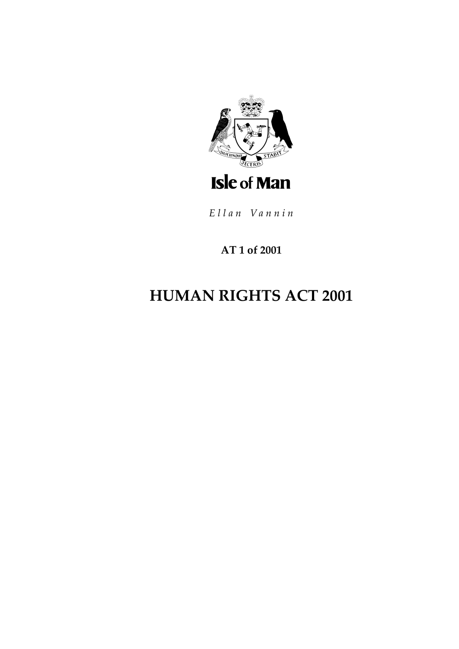

Ellan Vannin

## **AT 1 of 2001**

# **HUMAN RIGHTS ACT 2001**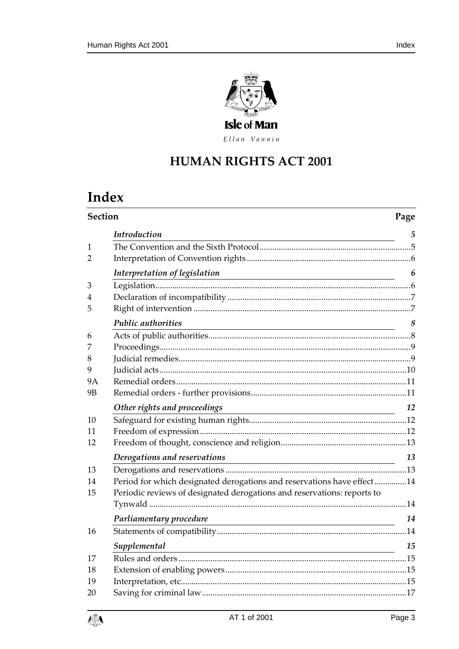

Ellan Vannin

## **HUMAN RIGHTS ACT 200 1**

## **Index**

| <b>Section</b> |                                                                                                                                                       | Page |
|----------------|-------------------------------------------------------------------------------------------------------------------------------------------------------|------|
|                | <b>Introduction</b>                                                                                                                                   | 5    |
| 1              |                                                                                                                                                       |      |
| 2              |                                                                                                                                                       |      |
|                | Interpretation of legislation<br><u> 1989 - Johann Barn, mars ar breithinn ar chuid ann an t-Alban ann an t-Alban ann an t-Alban ann an t-Alban a</u> | 6    |
| 3              |                                                                                                                                                       |      |
| 4              |                                                                                                                                                       |      |
| 5              |                                                                                                                                                       |      |
|                | Public authorities<br><u> 1980 - Andrea Station Barbara, amerikan personal (h. 1980).</u>                                                             | 8    |
| 6              |                                                                                                                                                       |      |
| 7              |                                                                                                                                                       |      |
| 8              |                                                                                                                                                       |      |
| 9              |                                                                                                                                                       |      |
| <b>9A</b>      |                                                                                                                                                       |      |
| <b>9B</b>      |                                                                                                                                                       |      |
|                | Other rights and proceedings                                                                                                                          | 12   |
| 10             |                                                                                                                                                       |      |
| 11             |                                                                                                                                                       |      |
| 12             |                                                                                                                                                       |      |
|                | Derogations and reservations                                                                                                                          | 13   |
| 13             |                                                                                                                                                       |      |
| 14             | Period for which designated derogations and reservations have effect14                                                                                |      |
| 15             | Periodic reviews of designated derogations and reservations: reports to                                                                               |      |
|                |                                                                                                                                                       |      |
|                | Parliamentary procedure<br><u> 1989 - Johann Barn, fransk politik (d. 1989)</u>                                                                       | 14   |
| 16             |                                                                                                                                                       |      |
|                | Supplemental<br><u> 1980 - Johann Barbara, martxa alemaniar amerikan a</u>                                                                            | 15   |
| 17             |                                                                                                                                                       |      |
| 18             |                                                                                                                                                       |      |
| 19             |                                                                                                                                                       |      |
| 20             |                                                                                                                                                       |      |

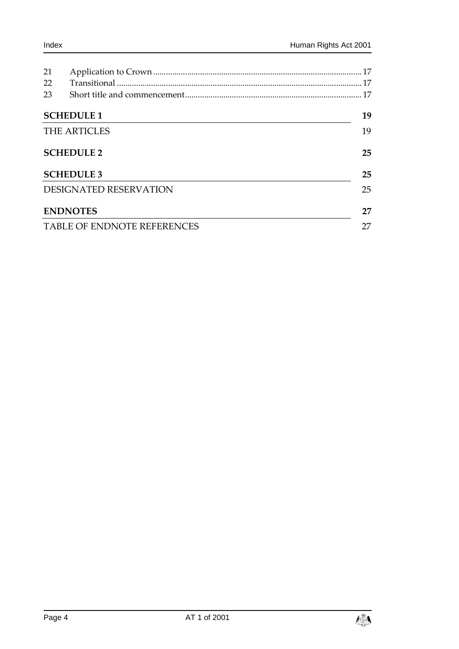| 21                                 |                   |    |
|------------------------------------|-------------------|----|
| 22                                 |                   |    |
| 23                                 |                   |    |
| <b>SCHEDULE 1</b>                  |                   |    |
|                                    | THE ARTICLES      | 19 |
|                                    | <b>SCHEDULE 2</b> | 25 |
|                                    | <b>SCHEDULE 3</b> | 25 |
| <b>DESIGNATED RESERVATION</b>      |                   | 25 |
|                                    | <b>ENDNOTES</b>   | 27 |
| <b>TABLE OF ENDNOTE REFERENCES</b> |                   |    |

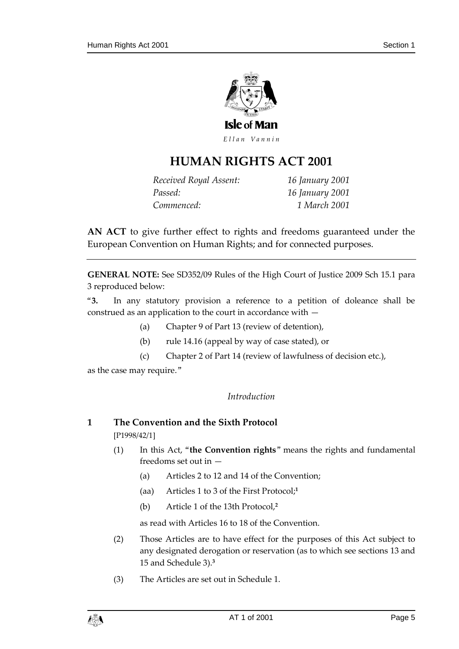

Ellan Vannin

## **HUMAN RIGHTS ACT 200 1**

*Received Royal Assent: 16 January 2001 Passed: 16 January 2001 Commenced: 1 March 2001*

**AN ACT** to give further effect to rights and freedoms guaranteed under the European Convention on Human Rights; and for connected purposes.

**GENERAL NOTE:** See SD352/09 Rules of the High Court of Justice 2009 Sch 15.1 para 3 reproduced below:

"**3.** In any statutory provision a reference to a petition of doleance shall be construed as an application to the court in accordance with —

- (a) Chapter 9 of Part 13 (review of detention),
- (b) rule 14.16 (appeal by way of case stated), or
- (c) Chapter 2 of Part 14 (review of lawfulness of decision etc.),

<span id="page-4-0"></span>as the case may require."

#### *Introduction*

## <span id="page-4-1"></span>**1 The Convention and the Sixth Protocol**

[P1998/42/1]

- (1) In this Act, "**the Convention rights**" means the rights and fundamental freedoms set out in —
	- (a) Articles 2 to 12 and 14 of the Convention;
	- (aa) Articles 1 to 3 of the First Protocol;**<sup>1</sup>**
	- (b) Article 1 of the 13th Protocol,**<sup>2</sup>**

as read with Articles 16 to 18 of the Convention.

- (2) Those Articles are to have effect for the purposes of this Act subject to any designated derogation or reservation (as to which see sections 13 and 15 and Schedule 3).**<sup>3</sup>**
- (3) The Articles are set out in Schedule 1.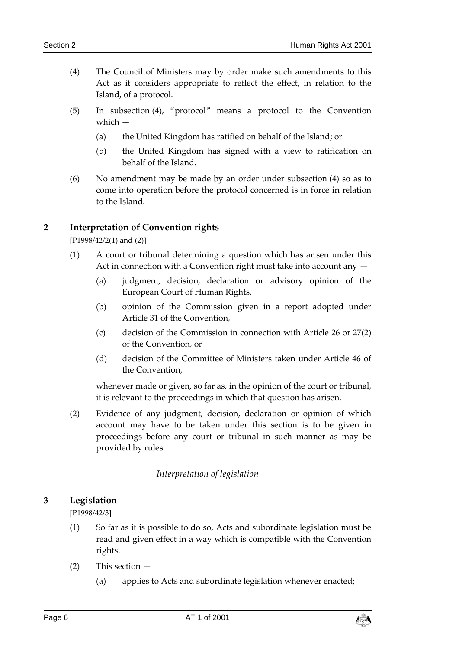- (4) The Council of Ministers may by order make such amendments to this Act as it considers appropriate to reflect the effect, in relation to the Island, of a protocol.
- (5) In subsection (4), "protocol" means a protocol to the Convention which —
	- (a) the United Kingdom has ratified on behalf of the Island; or
	- (b) the United Kingdom has signed with a view to ratification on behalf of the Island.
- (6) No amendment may be made by an order under subsection (4) so as to come into operation before the protocol concerned is in force in relation to the Island.

#### <span id="page-5-0"></span>**2 Interpretation of Convention rights**

[P1998/42/2(1) and (2)]

- (1) A court or tribunal determining a question which has arisen under this Act in connection with a Convention right must take into account any —
	- (a) judgment, decision, declaration or advisory opinion of the European Court of Human Rights,
	- (b) opinion of the Commission given in a report adopted under Article 31 of the Convention,
	- (c) decision of the Commission in connection with Article 26 or 27(2) of the Convention, or
	- (d) decision of the Committee of Ministers taken under Article 46 of the Convention,

whenever made or given, so far as, in the opinion of the court or tribunal, it is relevant to the proceedings in which that question has arisen.

(2) Evidence of any judgment, decision, declaration or opinion of which account may have to be taken under this section is to be given in proceedings before any court or tribunal in such manner as may be provided by rules.

#### *Interpretation of legislation*

#### <span id="page-5-2"></span><span id="page-5-1"></span>**3 Legislation**

[P1998/42/3]

- (1) So far as it is possible to do so, Acts and subordinate legislation must be read and given effect in a way which is compatible with the Convention rights.
- (2) This section
	- (a) applies to Acts and subordinate legislation whenever enacted;

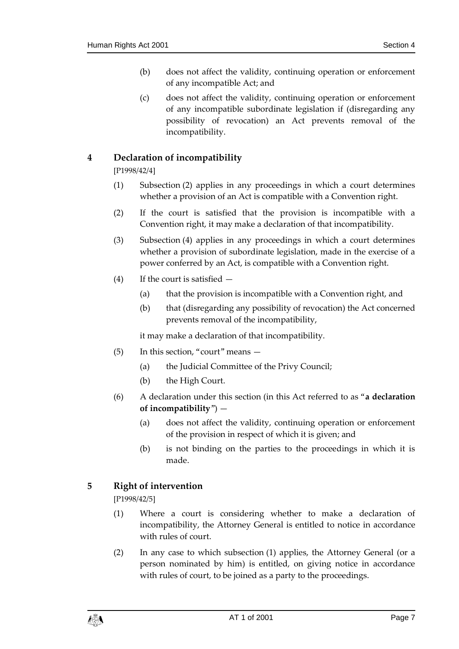- (b) does not affect the validity, continuing operation or enforcement of any incompatible Act; and
- (c) does not affect the validity, continuing operation or enforcement of any incompatible subordinate legislation if (disregarding any possibility of revocation) an Act prevents removal of the incompatibility.

## <span id="page-6-0"></span>**4 Declaration of incompatibility**

#### [P1998/42/4]

- (1) Subsection (2) applies in any proceedings in which a court determines whether a provision of an Act is compatible with a Convention right.
- (2) If the court is satisfied that the provision is incompatible with a Convention right, it may make a declaration of that incompatibility.
- (3) Subsection (4) applies in any proceedings in which a court determines whether a provision of subordinate legislation, made in the exercise of a power conferred by an Act, is compatible with a Convention right.
- (4) If the court is satisfied
	- (a) that the provision is incompatible with a Convention right, and
	- (b) that (disregarding any possibility of revocation) the Act concerned prevents removal of the incompatibility,

it may make a declaration of that incompatibility.

- (5) In this section, "court" means
	- (a) the Judicial Committee of the Privy Council;
	- (b) the High Court.
- (6) A declaration under this section (in this Act referred to as "**a declaration of incompatibility**") —
	- (a) does not affect the validity, continuing operation or enforcement of the provision in respect of which it is given; and
	- (b) is not binding on the parties to the proceedings in which it is made.

## <span id="page-6-1"></span>**5 Right of intervention**

[P1998/42/5]

- (1) Where a court is considering whether to make a declaration of incompatibility, the Attorney General is entitled to notice in accordance with rules of court.
- (2) In any case to which subsection (1) applies, the Attorney General (or a person nominated by him) is entitled, on giving notice in accordance with rules of court, to be joined as a party to the proceedings.

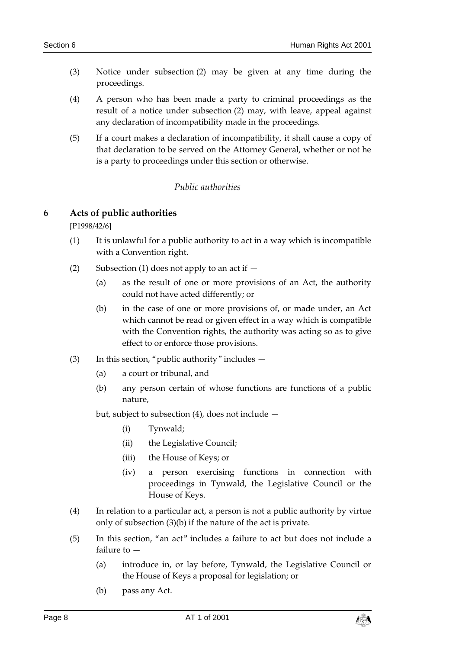- (3) Notice under subsection (2) may be given at any time during the proceedings.
- (4) A person who has been made a party to criminal proceedings as the result of a notice under subsection (2) may, with leave, appeal against any declaration of incompatibility made in the proceedings.
- (5) If a court makes a declaration of incompatibility, it shall cause a copy of that declaration to be served on the Attorney General, whether or not he is a party to proceedings under this section or otherwise.

## *Public authorities*

## <span id="page-7-1"></span><span id="page-7-0"></span>**6 Acts of public authorities**

[P1998/42/6]

- (1) It is unlawful for a public authority to act in a way which is incompatible with a Convention right.
- (2) Subsection (1) does not apply to an act if  $-$ 
	- (a) as the result of one or more provisions of an Act, the authority could not have acted differently; or
	- (b) in the case of one or more provisions of, or made under, an Act which cannot be read or given effect in a way which is compatible with the Convention rights, the authority was acting so as to give effect to or enforce those provisions.
- (3) In this section, "public authority" includes
	- (a) a court or tribunal, and
	- (b) any person certain of whose functions are functions of a public nature,

but, subject to subsection (4), does not include —

- (i) Tynwald;
- (ii) the Legislative Council;
- (iii) the House of Keys; or
- (iv) a person exercising functions in connection with proceedings in Tynwald, the Legislative Council or the House of Keys.
- (4) In relation to a particular act, a person is not a public authority by virtue only of subsection (3)(b) if the nature of the act is private.
- (5) In this section, "an act" includes a failure to act but does not include a failure to —
	- (a) introduce in, or lay before, Tynwald, the Legislative Council or the House of Keys a proposal for legislation; or
	- (b) pass any Act.

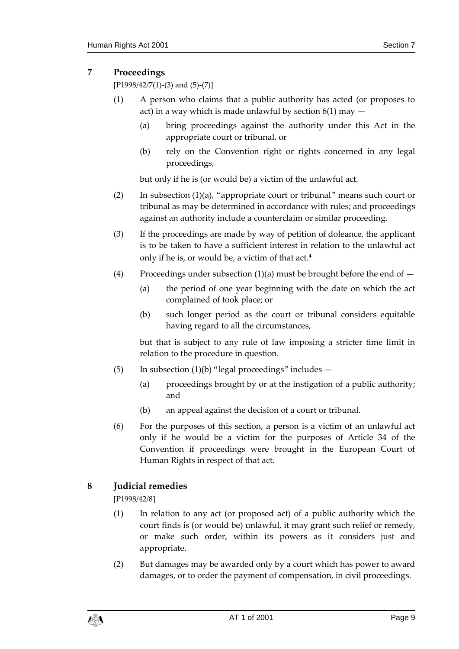## <span id="page-8-0"></span>**7 Proceedings**

[P1998/42/7(1)-(3) and (5)-(7)]

- (1) A person who claims that a public authority has acted (or proposes to act) in a way which is made unlawful by section  $6(1)$  may  $-$ 
	- (a) bring proceedings against the authority under this Act in the appropriate court or tribunal, or
	- (b) rely on the Convention right or rights concerned in any legal proceedings,

but only if he is (or would be) a victim of the unlawful act.

- (2) In subsection (1)(a), "appropriate court or tribunal" means such court or tribunal as may be determined in accordance with rules; and proceedings against an authority include a counterclaim or similar proceeding.
- (3) If the proceedings are made by way of petition of doleance, the applicant is to be taken to have a sufficient interest in relation to the unlawful act only if he is, or would be, a victim of that act.**<sup>4</sup>**
- (4) Proceedings under subsection  $(1)(a)$  must be brought before the end of  $-$ 
	- (a) the period of one year beginning with the date on which the act complained of took place; or
	- (b) such longer period as the court or tribunal considers equitable having regard to all the circumstances,

but that is subject to any rule of law imposing a stricter time limit in relation to the procedure in question.

- (5) In subsection  $(1)(b)$  "legal proceedings" includes  $-$ 
	- (a) proceedings brought by or at the instigation of a public authority; and
	- (b) an appeal against the decision of a court or tribunal.
- (6) For the purposes of this section, a person is a victim of an unlawful act only if he would be a victim for the purposes of Article 34 of the Convention if proceedings were brought in the European Court of Human Rights in respect of that act.

## <span id="page-8-1"></span>**8 Judicial remedies**

[P1998/42/8]

- (1) In relation to any act (or proposed act) of a public authority which the court finds is (or would be) unlawful, it may grant such relief or remedy, or make such order, within its powers as it considers just and appropriate.
- (2) But damages may be awarded only by a court which has power to award damages, or to order the payment of compensation, in civil proceedings.

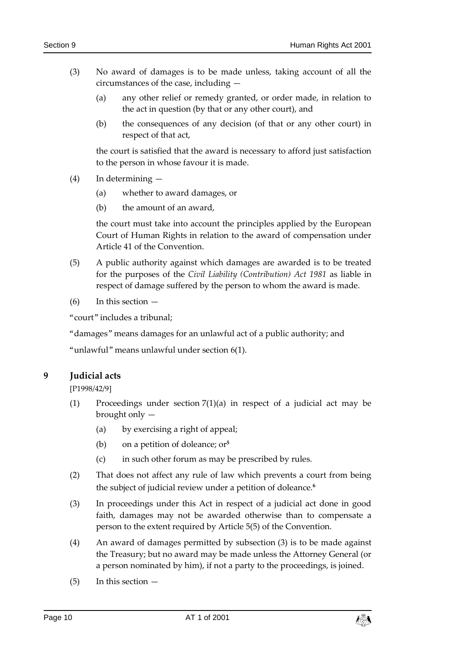- (3) No award of damages is to be made unless, taking account of all the circumstances of the case, including —
	- (a) any other relief or remedy granted, or order made, in relation to the act in question (by that or any other court), and
	- (b) the consequences of any decision (of that or any other court) in respect of that act,

the court is satisfied that the award is necessary to afford just satisfaction to the person in whose favour it is made.

- (4) In determining
	- (a) whether to award damages, or
	- (b) the amount of an award,

the court must take into account the principles applied by the European Court of Human Rights in relation to the award of compensation under Article 41 of the Convention.

- (5) A public authority against which damages are awarded is to be treated for the purposes of the *Civil Liability (Contribution) Act 1981* as liable in respect of damage suffered by the person to whom the award is made.
- $(6)$  In this section  $-$

"court" includes a tribunal;

"damages" means damages for an unlawful act of a public authority; and

"unlawful" means unlawful under section 6(1).

#### <span id="page-9-0"></span>**9 Judicial acts**

[P1998/42/9]

- (1) Proceedings under section 7(1)(a) in respect of a judicial act may be brought only —
	- (a) by exercising a right of appeal;
	- (b) on a petition of doleance; or**<sup>5</sup>**
	- (c) in such other forum as may be prescribed by rules.
- (2) That does not affect any rule of law which prevents a court from being the subject of judicial review under a petition of doleance.**<sup>6</sup>**
- (3) In proceedings under this Act in respect of a judicial act done in good faith, damages may not be awarded otherwise than to compensate a person to the extent required by Article 5(5) of the Convention.
- (4) An award of damages permitted by subsection (3) is to be made against the Treasury; but no award may be made unless the Attorney General (or a person nominated by him), if not a party to the proceedings, is joined.
- (5) In this section —

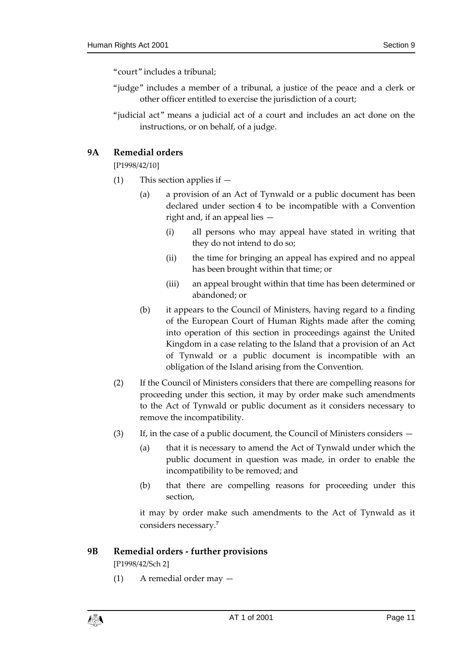"court" includes a tribunal;

- "judge" includes a member of a tribunal, a justice of the peace and a clerk or other officer entitled to exercise the jurisdiction of a court;
- "judicial act" means a judicial act of a court and includes an act done on the instructions, or on behalf, of a judge.

## <span id="page-10-0"></span>**9A Remedial orders**

[P1998/42/10]

- (1) This section applies if
	- (a) a provision of an Act of Tynwald or a public document has been declared under section 4 to be incompatible with a Convention right and, if an appeal lies —
		- (i) all persons who may appeal have stated in writing that they do not intend to do so;
		- (ii) the time for bringing an appeal has expired and no appeal has been brought within that time; or
		- (iii) an appeal brought within that time has been determined or abandoned; or
	- (b) it appears to the Council of Ministers, having regard to a finding of the European Court of Human Rights made after the coming into operation of this section in proceedings against the United Kingdom in a case relating to the Island that a provision of an Act of Tynwald or a public document is incompatible with an obligation of the Island arising from the Convention.
- (2) If the Council of Ministers considers that there are compelling reasons for proceeding under this section, it may by order make such amendments to the Act of Tynwald or public document as it considers necessary to remove the incompatibility.
- (3) If, in the case of a public document, the Council of Ministers considers
	- (a) that it is necessary to amend the Act of Tynwald under which the public document in question was made, in order to enable the incompatibility to be removed; and
	- (b) that there are compelling reasons for proceeding under this section,

it may by order make such amendments to the Act of Tynwald as it considers necessary.**<sup>7</sup>**

## <span id="page-10-1"></span>**9B Remedial orders - further provisions**

[P1998/42/Sch 2]

(1) A remedial order may —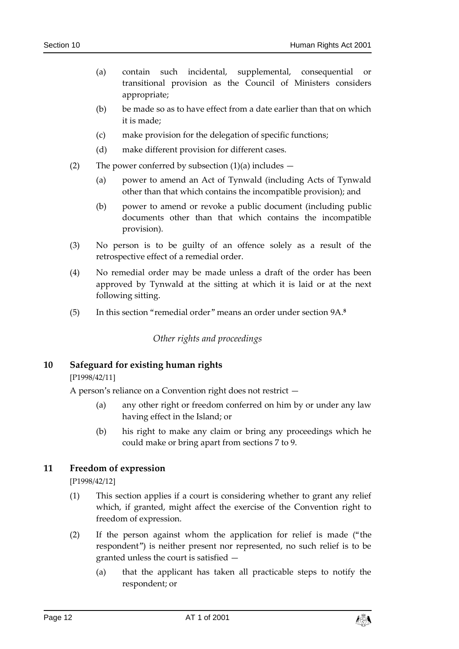- (a) contain such incidental, supplemental, consequential or transitional provision as the Council of Ministers considers appropriate;
- (b) be made so as to have effect from a date earlier than that on which it is made;
- (c) make provision for the delegation of specific functions;
- (d) make different provision for different cases.
- (2) The power conferred by subsection  $(1)(a)$  includes  $-$ 
	- (a) power to amend an Act of Tynwald (including Acts of Tynwald other than that which contains the incompatible provision); and
	- (b) power to amend or revoke a public document (including public documents other than that which contains the incompatible provision).
- (3) No person is to be guilty of an offence solely as a result of the retrospective effect of a remedial order.
- (4) No remedial order may be made unless a draft of the order has been approved by Tynwald at the sitting at which it is laid or at the next following sitting.
- <span id="page-11-0"></span>(5) In this section "remedial order" means an order under section 9A.**<sup>8</sup>**

#### *Other rights and proceedings*

#### <span id="page-11-1"></span>**10 Safeguard for existing human rights**

#### [P1998/42/11]

A person's reliance on a Convention right does not restrict —

- (a) any other right or freedom conferred on him by or under any law having effect in the Island; or
- (b) his right to make any claim or bring any proceedings which he could make or bring apart from sections 7 to 9.

#### <span id="page-11-2"></span>**11 Freedom of expression**

#### [P1998/42/12]

- (1) This section applies if a court is considering whether to grant any relief which, if granted, might affect the exercise of the Convention right to freedom of expression.
- (2) If the person against whom the application for relief is made ("the respondent") is neither present nor represented, no such relief is to be granted unless the court is satisfied —
	- (a) that the applicant has taken all practicable steps to notify the respondent; or

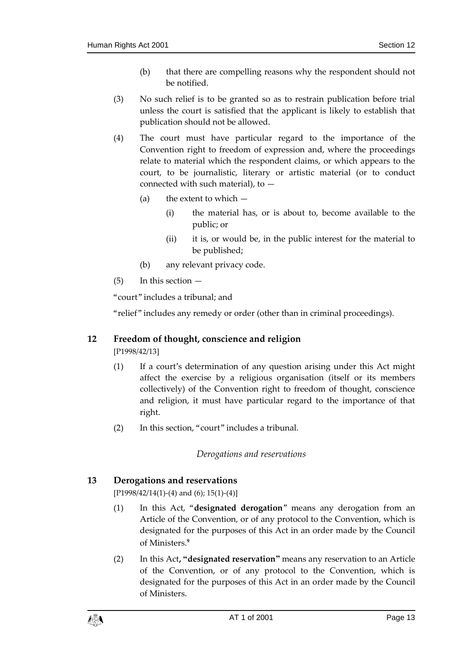- (b) that there are compelling reasons why the respondent should not be notified.
- (3) No such relief is to be granted so as to restrain publication before trial unless the court is satisfied that the applicant is likely to establish that publication should not be allowed.
- (4) The court must have particular regard to the importance of the Convention right to freedom of expression and, where the proceedings relate to material which the respondent claims, or which appears to the court, to be journalistic, literary or artistic material (or to conduct connected with such material), to —
	- (a) the extent to which  $-$ 
		- (i) the material has, or is about to, become available to the public; or
		- (ii) it is, or would be, in the public interest for the material to be published;
	- (b) any relevant privacy code.
- $(5)$  In this section  $-$

"court" includes a tribunal; and

"relief" includes any remedy or order (other than in criminal proceedings).

## <span id="page-12-0"></span>**12 Freedom of thought, conscience and religion**

[P1998/42/13]

- (1) If a court's determination of any question arising under this Act might affect the exercise by a religious organisation (itself or its members collectively) of the Convention right to freedom of thought, conscience and religion, it must have particular regard to the importance of that right.
- <span id="page-12-1"></span>(2) In this section, "court" includes a tribunal.

*Derogations and reservations*

## <span id="page-12-2"></span>**13 Derogations and reservations**

[P1998/42/14(1)-(4) and (6); 15(1)-(4)]

- (1) In this Act, "**designated derogation**" means any derogation from an Article of the Convention, or of any protocol to the Convention, which is designated for the purposes of this Act in an order made by the Council of Ministers.**<sup>9</sup>**
- (2) In this Act**, "designated reservation"** means any reservation to an Article of the Convention, or of any protocol to the Convention, which is designated for the purposes of this Act in an order made by the Council of Ministers.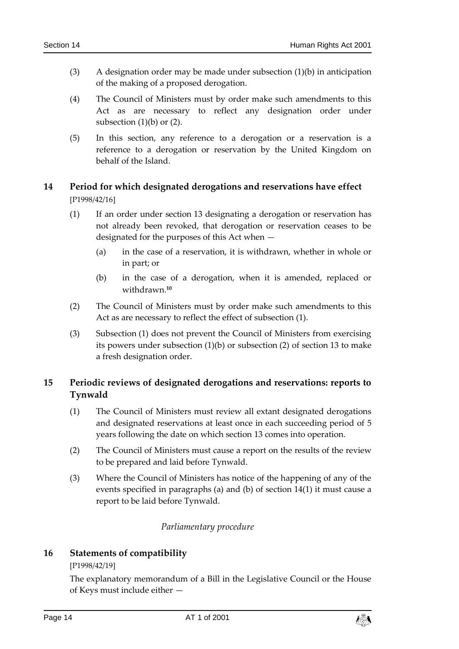- (3) A designation order may be made under subsection (1)(b) in anticipation of the making of a proposed derogation.
- (4) The Council of Ministers must by order make such amendments to this Act as are necessary to reflect any designation order under subsection  $(1)(b)$  or  $(2)$ .
- (5) In this section, any reference to a derogation or a reservation is a reference to a derogation or reservation by the United Kingdom on behalf of the Island.

## <span id="page-13-0"></span>**14 Period for which designated derogations and reservations have effect** [P1998/42/16]

- (1) If an order under section 13 designating a derogation or reservation has not already been revoked, that derogation or reservation ceases to be designated for the purposes of this Act when —
	- (a) in the case of a reservation, it is withdrawn, whether in whole or in part; or
	- (b) in the case of a derogation, when it is amended, replaced or withdrawn.**<sup>10</sup>**
- (2) The Council of Ministers must by order make such amendments to this Act as are necessary to reflect the effect of subsection (1).
- (3) Subsection (1) does not prevent the Council of Ministers from exercising its powers under subsection  $(1)(b)$  or subsection  $(2)$  of section 13 to make a fresh designation order.

## <span id="page-13-1"></span>**15 Periodic reviews of designated derogations and reservations: reports to Tynwald**

- (1) The Council of Ministers must review all extant designated derogations and designated reservations at least once in each succeeding period of 5 years following the date on which section 13 comes into operation.
- (2) The Council of Ministers must cause a report on the results of the review to be prepared and laid before Tynwald.
- (3) Where the Council of Ministers has notice of the happening of any of the events specified in paragraphs (a) and (b) of section 14(1) it must cause a report to be laid before Tynwald.

## *Parliamentary procedure*

## <span id="page-13-3"></span><span id="page-13-2"></span>**16 Statements of compatibility**

#### [P1998/42/19]

The explanatory memorandum of a Bill in the Legislative Council or the House of Keys must include either —

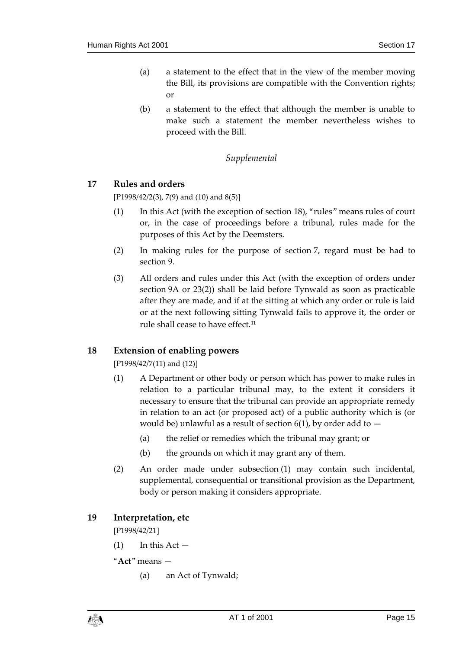- (a) a statement to the effect that in the view of the member moving the Bill, its provisions are compatible with the Convention rights; or
- (b) a statement to the effect that although the member is unable to make such a statement the member nevertheless wishes to proceed with the Bill.

## *Supplemental*

## <span id="page-14-1"></span><span id="page-14-0"></span>**17 Rules and orders**

[P1998/42/2(3), 7(9) and (10) and 8(5)]

- (1) In this Act (with the exception of section 18), "rules" means rules of court or, in the case of proceedings before a tribunal, rules made for the purposes of this Act by the Deemsters.
- (2) In making rules for the purpose of section 7, regard must be had to section 9.
- (3) All orders and rules under this Act (with the exception of orders under section 9A or 23(2)) shall be laid before Tynwald as soon as practicable after they are made, and if at the sitting at which any order or rule is laid or at the next following sitting Tynwald fails to approve it, the order or rule shall cease to have effect.**<sup>11</sup>**

## <span id="page-14-2"></span>**18 Extension of enabling powers**

[P1998/42/7(11) and (12)]

- (1) A Department or other body or person which has power to make rules in relation to a particular tribunal may, to the extent it considers it necessary to ensure that the tribunal can provide an appropriate remedy in relation to an act (or proposed act) of a public authority which is (or would be) unlawful as a result of section  $6(1)$ , by order add to  $-$ 
	- (a) the relief or remedies which the tribunal may grant; or
	- (b) the grounds on which it may grant any of them.
- (2) An order made under subsection (1) may contain such incidental, supplemental, consequential or transitional provision as the Department, body or person making it considers appropriate.

#### <span id="page-14-3"></span>**19 Interpretation, etc**

[P1998/42/21]

 $(1)$  In this Act  $-$ 

"**Act**" means —

(a) an Act of Tynwald;

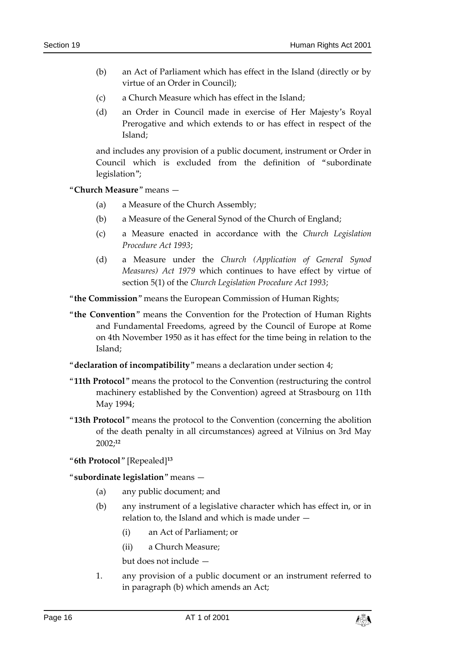- (b) an Act of Parliament which has effect in the Island (directly or by virtue of an Order in Council);
- (c) a Church Measure which has effect in the Island;
- (d) an Order in Council made in exercise of Her Majesty's Royal Prerogative and which extends to or has effect in respect of the Island;

and includes any provision of a public document, instrument or Order in Council which is excluded from the definition of "subordinate legislation";

"**Church Measure**" means —

- (a) a Measure of the Church Assembly;
- (b) a Measure of the General Synod of the Church of England;
- (c) a Measure enacted in accordance with the *Church Legislation Procedure Act 1993*;
- (d) a Measure under the *Church (Application of General Synod Measures) Act 1979* which continues to have effect by virtue of section 5(1) of the *Church Legislation Procedure Act 1993*;

"**the Commission**" means the European Commission of Human Rights;

"**the Convention**" means the Convention for the Protection of Human Rights and Fundamental Freedoms, agreed by the Council of Europe at Rome on 4th November 1950 as it has effect for the time being in relation to the Island;

"**declaration of incompatibility**" means a declaration under section 4;

- "**11th Protocol**" means the protocol to the Convention (restructuring the control machinery established by the Convention) agreed at Strasbourg on 11th May 1994;
- "**13th Protocol**" means the protocol to the Convention (concerning the abolition of the death penalty in all circumstances) agreed at Vilnius on 3rd May 2002;**<sup>12</sup>**
- "**6th Protocol**" [Repealed]**<sup>13</sup>**

"**subordinate legislation**" means —

- (a) any public document; and
- (b) any instrument of a legislative character which has effect in, or in relation to, the Island and which is made under —
	- (i) an Act of Parliament; or
	- (ii) a Church Measure;

but does not include —

1. any provision of a public document or an instrument referred to in paragraph (b) which amends an Act;

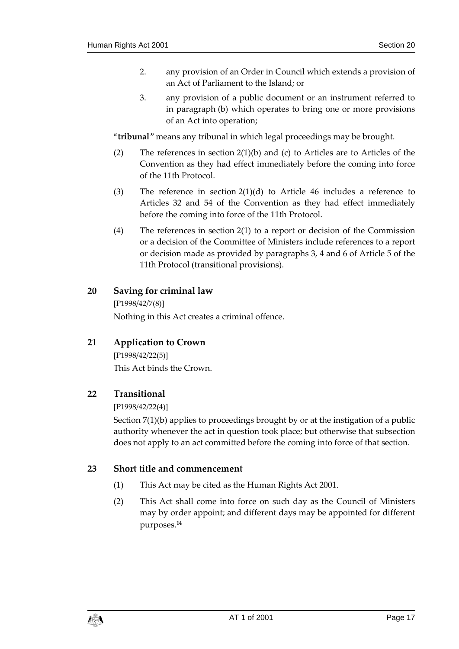- 2. any provision of an Order in Council which extends a provision of an Act of Parliament to the Island; or
- 3. any provision of a public document or an instrument referred to in paragraph (b) which operates to bring one or more provisions of an Act into operation;

"**tribunal**" means any tribunal in which legal proceedings may be brought.

- (2) The references in section  $2(1)(b)$  and (c) to Articles are to Articles of the Convention as they had effect immediately before the coming into force of the 11th Protocol.
- (3) The reference in section  $2(1)(d)$  to Article 46 includes a reference to Articles 32 and 54 of the Convention as they had effect immediately before the coming into force of the 11th Protocol.
- (4) The references in section 2(1) to a report or decision of the Commission or a decision of the Committee of Ministers include references to a report or decision made as provided by paragraphs 3, 4 and 6 of Article 5 of the 11th Protocol (transitional provisions).

## <span id="page-16-0"></span>**20 Saving for criminal law**

[P1998/42/7(8)] Nothing in this Act creates a criminal offence.

## <span id="page-16-1"></span>**21 Application to Crown**

[P1998/42/22(5)] This Act binds the Crown.

## <span id="page-16-2"></span>**22 Transitional**

[P1998/42/22(4)]

Section 7(1)(b) applies to proceedings brought by or at the instigation of a public authority whenever the act in question took place; but otherwise that subsection does not apply to an act committed before the coming into force of that section.

#### <span id="page-16-3"></span>**23 Short title and commencement**

- (1) This Act may be cited as the Human Rights Act 2001.
- (2) This Act shall come into force on such day as the Council of Ministers may by order appoint; and different days may be appointed for different purposes.**14**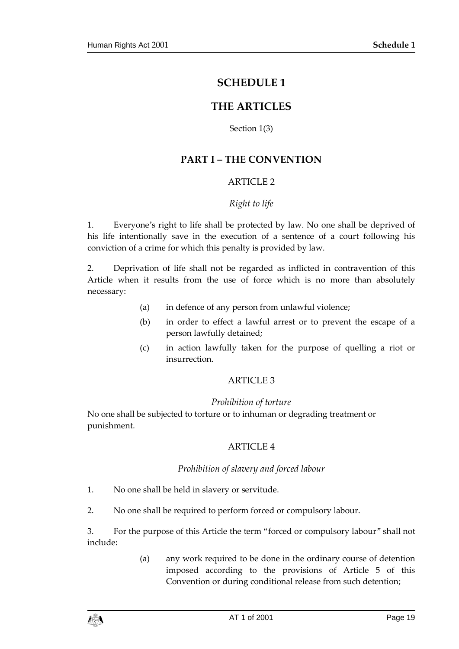## **SCHEDULE 1**

## **THE ARTICLES**

Section 1(3)

## <span id="page-18-1"></span><span id="page-18-0"></span>**PART I – THE CONVENTION**

## ARTICLE 2

#### *Right to life*

1. Everyone's right to life shall be protected by law. No one shall be deprived of his life intentionally save in the execution of a sentence of a court following his conviction of a crime for which this penalty is provided by law.

2. Deprivation of life shall not be regarded as inflicted in contravention of this Article when it results from the use of force which is no more than absolutely necessary:

- (a) in defence of any person from unlawful violence;
- (b) in order to effect a lawful arrest or to prevent the escape of a person lawfully detained;
- (c) in action lawfully taken for the purpose of quelling a riot or insurrection.

#### ARTICLE 3

#### *Prohibition of torture*

No one shall be subjected to torture or to inhuman or degrading treatment or punishment.

#### ARTICLE 4

#### *Prohibition of slavery and forced labour*

- 1. No one shall be held in slavery or servitude.
- 2. No one shall be required to perform forced or compulsory labour.

3. For the purpose of this Article the term "forced or compulsory labour" shall not include:

> (a) any work required to be done in the ordinary course of detention imposed according to the provisions of Article 5 of this Convention or during conditional release from such detention;

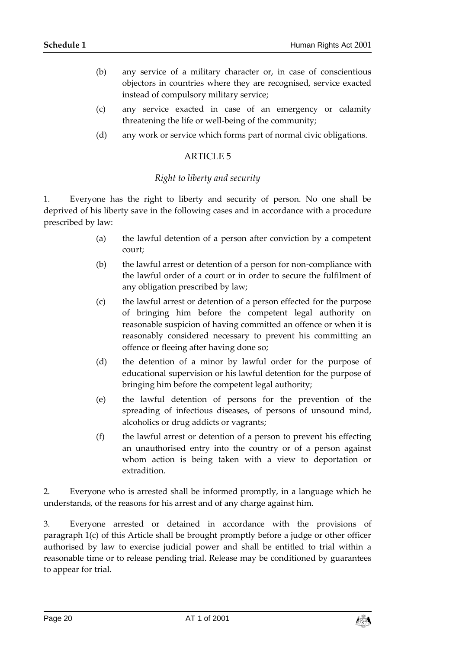- (b) any service of a military character or, in case of conscientious objectors in countries where they are recognised, service exacted instead of compulsory military service;
- (c) any service exacted in case of an emergency or calamity threatening the life or well-being of the community;
- (d) any work or service which forms part of normal civic obligations.

#### ARTICLE 5

#### *Right to liberty and security*

1. Everyone has the right to liberty and security of person. No one shall be deprived of his liberty save in the following cases and in accordance with a procedure prescribed by law:

- (a) the lawful detention of a person after conviction by a competent court;
- (b) the lawful arrest or detention of a person for non-compliance with the lawful order of a court or in order to secure the fulfilment of any obligation prescribed by law;
- (c) the lawful arrest or detention of a person effected for the purpose of bringing him before the competent legal authority on reasonable suspicion of having committed an offence or when it is reasonably considered necessary to prevent his committing an offence or fleeing after having done so;
- (d) the detention of a minor by lawful order for the purpose of educational supervision or his lawful detention for the purpose of bringing him before the competent legal authority;
- (e) the lawful detention of persons for the prevention of the spreading of infectious diseases, of persons of unsound mind, alcoholics or drug addicts or vagrants;
- (f) the lawful arrest or detention of a person to prevent his effecting an unauthorised entry into the country or of a person against whom action is being taken with a view to deportation or extradition.

2. Everyone who is arrested shall be informed promptly, in a language which he understands, of the reasons for his arrest and of any charge against him.

3. Everyone arrested or detained in accordance with the provisions of paragraph 1(c) of this Article shall be brought promptly before a judge or other officer authorised by law to exercise judicial power and shall be entitled to trial within a reasonable time or to release pending trial. Release may be conditioned by guarantees to appear for trial.

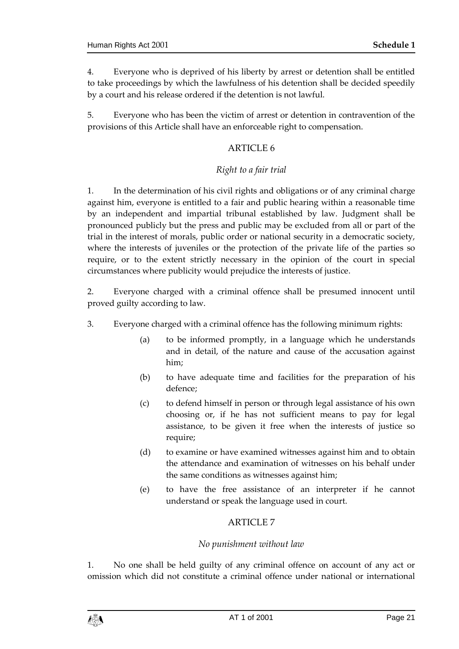4. Everyone who is deprived of his liberty by arrest or detention shall be entitled to take proceedings by which the lawfulness of his detention shall be decided speedily by a court and his release ordered if the detention is not lawful.

5. Everyone who has been the victim of arrest or detention in contravention of the provisions of this Article shall have an enforceable right to compensation.

#### ARTICLE 6

## *Right to a fair trial*

1. In the determination of his civil rights and obligations or of any criminal charge against him, everyone is entitled to a fair and public hearing within a reasonable time by an independent and impartial tribunal established by law. Judgment shall be pronounced publicly but the press and public may be excluded from all or part of the trial in the interest of morals, public order or national security in a democratic society, where the interests of juveniles or the protection of the private life of the parties so require, or to the extent strictly necessary in the opinion of the court in special circumstances where publicity would prejudice the interests of justice.

2. Everyone charged with a criminal offence shall be presumed innocent until proved guilty according to law.

- 3. Everyone charged with a criminal offence has the following minimum rights:
	- (a) to be informed promptly, in a language which he understands and in detail, of the nature and cause of the accusation against him;
	- (b) to have adequate time and facilities for the preparation of his defence;
	- (c) to defend himself in person or through legal assistance of his own choosing or, if he has not sufficient means to pay for legal assistance, to be given it free when the interests of justice so require;
	- (d) to examine or have examined witnesses against him and to obtain the attendance and examination of witnesses on his behalf under the same conditions as witnesses against him;
	- (e) to have the free assistance of an interpreter if he cannot understand or speak the language used in court.

## ARTICLE<sub>7</sub>

#### *No punishment without law*

1. No one shall be held guilty of any criminal offence on account of any act or omission which did not constitute a criminal offence under national or international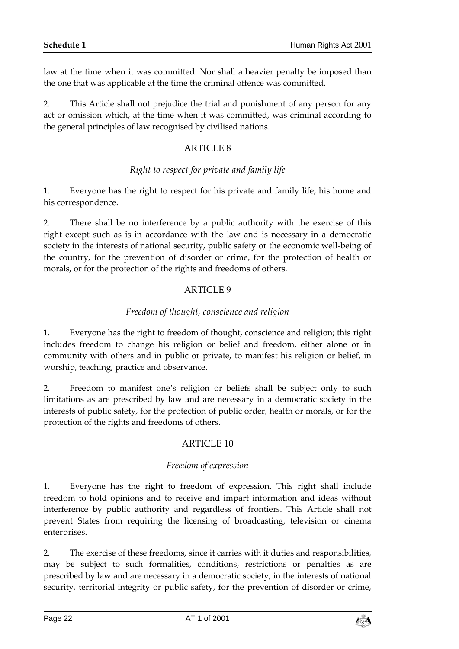law at the time when it was committed. Nor shall a heavier penalty be imposed than the one that was applicable at the time the criminal offence was committed.

2. This Article shall not prejudice the trial and punishment of any person for any act or omission which, at the time when it was committed, was criminal according to the general principles of law recognised by civilised nations.

## ARTICLE 8

## *Right to respect for private and family life*

1. Everyone has the right to respect for his private and family life, his home and his correspondence.

2. There shall be no interference by a public authority with the exercise of this right except such as is in accordance with the law and is necessary in a democratic society in the interests of national security, public safety or the economic well-being of the country, for the prevention of disorder or crime, for the protection of health or morals, or for the protection of the rights and freedoms of others.

## ARTICLE 9

## *Freedom of thought, conscience and religion*

1. Everyone has the right to freedom of thought, conscience and religion; this right includes freedom to change his religion or belief and freedom, either alone or in community with others and in public or private, to manifest his religion or belief, in worship, teaching, practice and observance.

2. Freedom to manifest one's religion or beliefs shall be subject only to such limitations as are prescribed by law and are necessary in a democratic society in the interests of public safety, for the protection of public order, health or morals, or for the protection of the rights and freedoms of others.

## ARTICLE 10

## *Freedom of expression*

1. Everyone has the right to freedom of expression. This right shall include freedom to hold opinions and to receive and impart information and ideas without interference by public authority and regardless of frontiers. This Article shall not prevent States from requiring the licensing of broadcasting, television or cinema enterprises.

2. The exercise of these freedoms, since it carries with it duties and responsibilities, may be subject to such formalities, conditions, restrictions or penalties as are prescribed by law and are necessary in a democratic society, in the interests of national security, territorial integrity or public safety, for the prevention of disorder or crime,

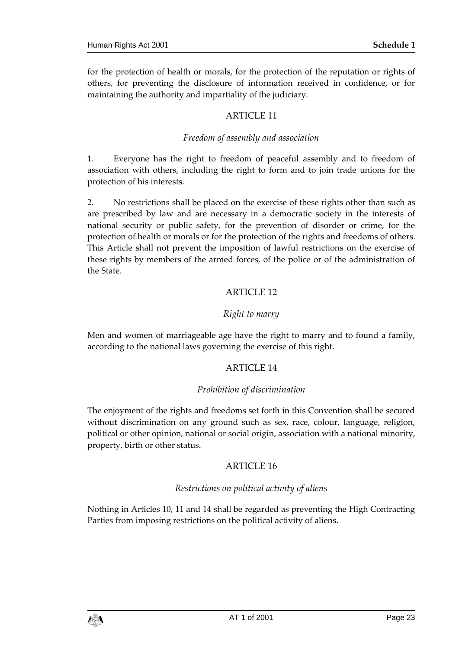for the protection of health or morals, for the protection of the reputation or rights of others, for preventing the disclosure of information received in confidence, or for maintaining the authority and impartiality of the judiciary.

## ARTICLE 11

#### *Freedom of assembly and association*

1. Everyone has the right to freedom of peaceful assembly and to freedom of association with others, including the right to form and to join trade unions for the protection of his interests.

2. No restrictions shall be placed on the exercise of these rights other than such as are prescribed by law and are necessary in a democratic society in the interests of national security or public safety, for the prevention of disorder or crime, for the protection of health or morals or for the protection of the rights and freedoms of others. This Article shall not prevent the imposition of lawful restrictions on the exercise of these rights by members of the armed forces, of the police or of the administration of the State.

## ARTICLE 12

## *Right to marry*

Men and women of marriageable age have the right to marry and to found a family, according to the national laws governing the exercise of this right.

#### ARTICLE 14

#### *Prohibition of discrimination*

The enjoyment of the rights and freedoms set forth in this Convention shall be secured without discrimination on any ground such as sex, race, colour, language, religion, political or other opinion, national or social origin, association with a national minority, property, birth or other status.

#### ARTICLE 16

#### *Restrictions on political activity of aliens*

Nothing in Articles 10, 11 and 14 shall be regarded as preventing the High Contracting Parties from imposing restrictions on the political activity of aliens.

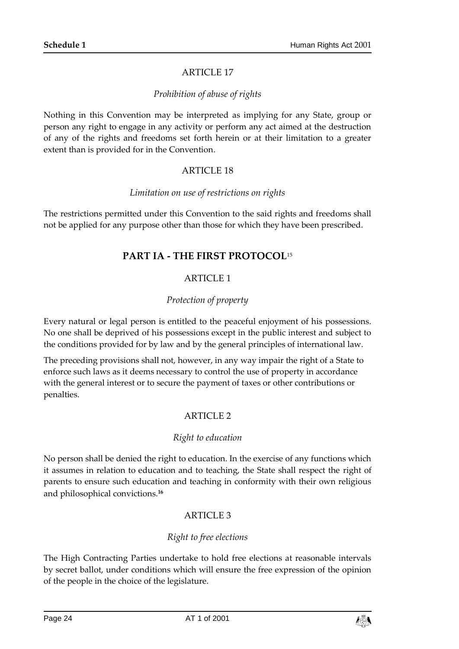## ARTICLE 17

## *Prohibition of abuse of rights*

Nothing in this Convention may be interpreted as implying for any State, group or person any right to engage in any activity or perform any act aimed at the destruction of any of the rights and freedoms set forth herein or at their limitation to a greater extent than is provided for in the Convention.

## ARTICLE 18

#### *Limitation on use of restrictions on rights*

The restrictions permitted under this Convention to the said rights and freedoms shall not be applied for any purpose other than those for which they have been prescribed.

## **PART IA - THE FIRST PROTOCOL**<sup>15</sup>

## ARTICLE 1

## *Protection of property*

Every natural or legal person is entitled to the peaceful enjoyment of his possessions. No one shall be deprived of his possessions except in the public interest and subject to the conditions provided for by law and by the general principles of international law.

The preceding provisions shall not, however, in any way impair the right of a State to enforce such laws as it deems necessary to control the use of property in accordance with the general interest or to secure the payment of taxes or other contributions or penalties.

#### ARTICLE 2

#### *Right to education*

No person shall be denied the right to education. In the exercise of any functions which it assumes in relation to education and to teaching, the State shall respect the right of parents to ensure such education and teaching in conformity with their own religious and philosophical convictions.**<sup>16</sup>**

#### ARTICLE 3

#### *Right to free elections*

The High Contracting Parties undertake to hold free elections at reasonable intervals by secret ballot, under conditions which will ensure the free expression of the opinion of the people in the choice of the legislature.

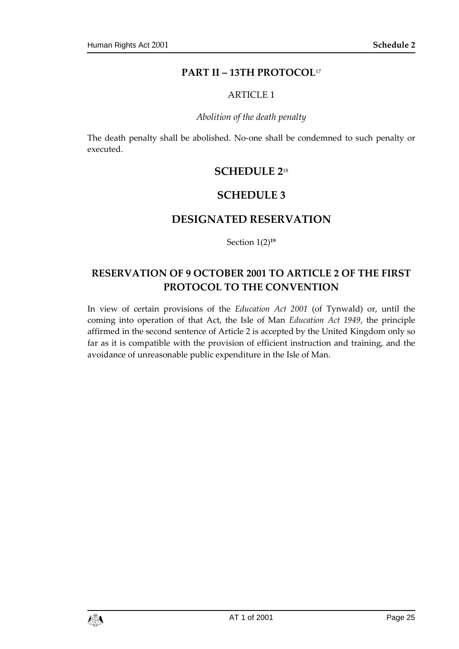## **PART II – 13TH PROTOCOL**<sup>17</sup>

#### ARTICLE 1

#### *Abolition of the death penalty*

<span id="page-24-1"></span><span id="page-24-0"></span>The death penalty shall be abolished. No-one shall be condemned to such penalty or executed.

## **SCHEDULE 2**<sup>18</sup>

## **SCHEDULE 3**

## **DESIGNATED RESERVATION**

Section 1(2)**<sup>19</sup>**

## <span id="page-24-2"></span>**RESERVATION OF 9 OCTOBER 2001 TO ARTICLE 2 OF THE FIRST PROTOCOL TO THE CONVENTION**

In view of certain provisions of the *Education Act 2001* (of Tynwald) or, until the coming into operation of that Act, the Isle of Man *Education Act 1949*, the principle affirmed in the second sentence of Article 2 is accepted by the United Kingdom only so far as it is compatible with the provision of efficient instruction and training, and the avoidance of unreasonable public expenditure in the Isle of Man.